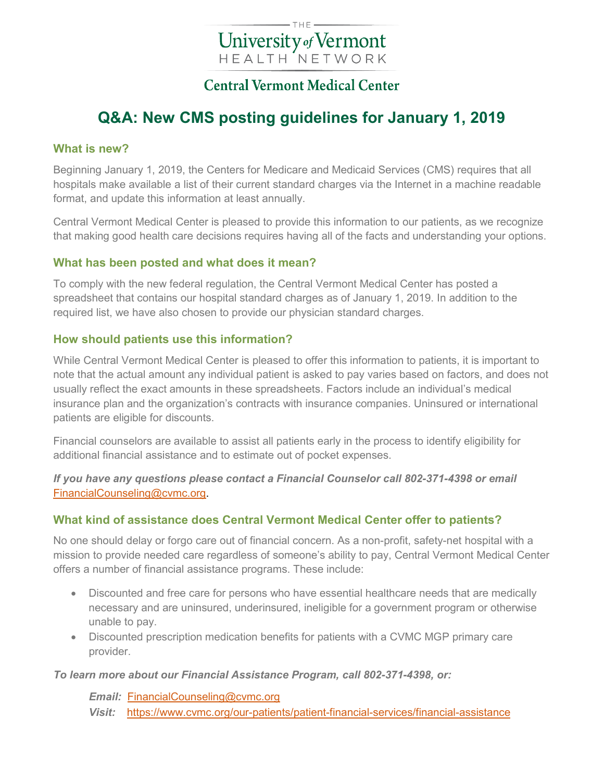# University of Vermont **HEALTH NETWORK**

### **Central Vermont Medical Center**

## **Q&A: New CMS posting guidelines for January 1, 2019**

#### **What is new?**

Beginning January 1, 2019, the Centers for Medicare and Medicaid Services (CMS) requires that all hospitals make available a list of their current standard charges via the Internet in a machine readable format, and update this information at least annually.

Central Vermont Medical Center is pleased to provide this information to our patients, as we recognize that making good health care decisions requires having all of the facts and understanding your options.

#### **What has been posted and what does it mean?**

To comply with the new federal regulation, the Central Vermont Medical Center has posted a spreadsheet that contains our hospital standard charges as of January 1, 2019. In addition to the required list, we have also chosen to provide our physician standard charges.

#### **How should patients use this information?**

While Central Vermont Medical Center is pleased to offer this information to patients, it is important to note that the actual amount any individual patient is asked to pay varies based on factors, and does not usually reflect the exact amounts in these spreadsheets. Factors include an individual's medical insurance plan and the organization's contracts with insurance companies. Uninsured or international patients are eligible for discounts.

Financial counselors are available to assist all patients early in the process to identify eligibility for additional financial assistance and to estimate out of pocket expenses.

*If you have any questions please contact a Financial Counselor call 802-371-4398 or email* [FinancialCounseling@cvmc.org.](mailto:FinancialCounseling@cvmc.org)

#### **What kind of assistance does Central Vermont Medical Center offer to patients?**

No one should delay or forgo care out of financial concern. As a non-profit, safety-net hospital with a mission to provide needed care regardless of someone's ability to pay, Central Vermont Medical Center offers a number of financial assistance programs. These include:

- Discounted and free care for persons who have essential healthcare needs that are medically necessary and are uninsured, underinsured, ineligible for a government program or otherwise unable to pay.
- Discounted prescription medication benefits for patients with a CVMC MGP primary care provider.

#### *To learn more about our Financial Assistance Program, call 802-371-4398, or:*

*Email:* [FinancialCounseling@cvmc.org](mailto:FinancialCounseling@cvmc.org) *Visit:* <https://www.cvmc.org/our-patients/patient-financial-services/financial-assistance>